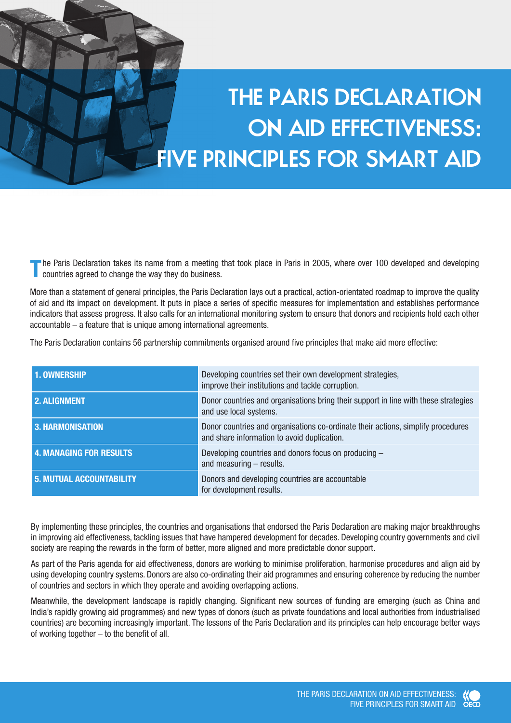# **THE PARIS DECLARATION ON AID EFFECTIVENESS: FIVE PRINCIPLES FOR SMART AID**

**T**he Paris Declaration takes its name from a meeting that took place in Paris in 2005, where over 100 developed and developing countries agreed to change the way they do business.

More than a statement of general principles, the Paris Declaration lays out a practical, action-orientated roadmap to improve the quality of aid and its impact on development. It puts in place a series of specific measures for implementation and establishes performance indicators that assess progress. It also calls for an international monitoring system to ensure that donors and recipients hold each other accountable – a feature that is unique among international agreements.

The Paris Declaration contains 56 partnership commitments organised around five principles that make aid more effective:

| 1. OWNERSHIP                    | Developing countries set their own development strategies,<br>improve their institutions and tackle corruption.                 |
|---------------------------------|---------------------------------------------------------------------------------------------------------------------------------|
| 2. ALIGNMENT                    | Donor countries and organisations bring their support in line with these strategies<br>and use local systems.                   |
| 3. HARMONISATION                | Donor countries and organisations co-ordinate their actions, simplify procedures<br>and share information to avoid duplication. |
| <b>4. MANAGING FOR RESULTS</b>  | Developing countries and donors focus on producing -<br>and measuring $-$ results.                                              |
| <b>5. MUTUAL ACCOUNTABILITY</b> | Donors and developing countries are accountable<br>for development results.                                                     |

By implementing these principles, the countries and organisations that endorsed the Paris Declaration are making major breakthroughs in improving aid effectiveness, tackling issues that have hampered development for decades. Developing country governments and civil society are reaping the rewards in the form of better, more aligned and more predictable donor support.

As part of the Paris agenda for aid effectiveness, donors are working to minimise proliferation, harmonise procedures and align aid by using developing country systems. Donors are also co-ordinating their aid programmes and ensuring coherence by reducing the number of countries and sectors in which they operate and avoiding overlapping actions.

Meanwhile, the development landscape is rapidly changing. Significant new sources of funding are emerging (such as China and India's rapidly growing aid programmes) and new types of donors (such as private foundations and local authorities from industrialised countries) are becoming increasingly important. The lessons of the Paris Declaration and its principles can help encourage better ways of working together – to the benefit of all.